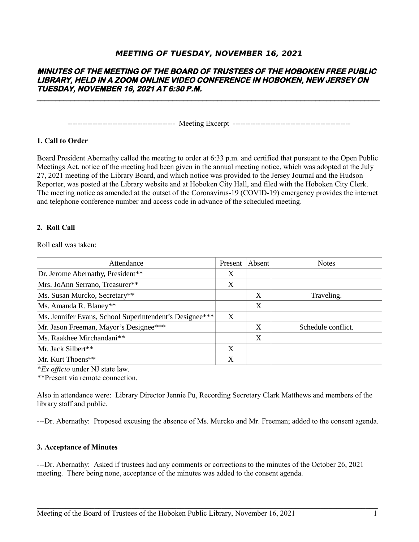# **MEETING OF TUESDAY, NOVEMBER 16, 2021**

# **MINUTES OF THE MEETING OF THE BOARD OF TRUSTEES OF THE HOBOKEN FREE PUBLIC LIBRARY, HELD IN A ZOOM ONLINE VIDEO CONFERENCE IN HOBOKEN, NEW JERSEY ON TUESDAY, NOVEMBER 16, 2021 AT 6:30 P.M.**

------------------------------------------- Meeting Excerpt -----------------------------------------------

# **1. Call to Order**

Board President Abernathy called the meeting to order at 6:33 p.m. and certified that pursuant to the Open Public Meetings Act, notice of the meeting had been given in the annual meeting notice, which was adopted at the July 27, 2021 meeting of the Library Board, and which notice was provided to the Jersey Journal and the Hudson Reporter, was posted at the Library website and at Hoboken City Hall, and filed with the Hoboken City Clerk. The meeting notice as amended at the outset of the Coronavirus-19 (COVID-19) emergency provides the internet and telephone conference number and access code in advance of the scheduled meeting.

#### **2. Roll Call**

Roll call was taken:

| Attendance                                              | Present | Absent | <b>Notes</b>       |
|---------------------------------------------------------|---------|--------|--------------------|
| Dr. Jerome Abernathy, President**                       | X       |        |                    |
| Mrs. JoAnn Serrano, Treasurer**                         | X       |        |                    |
| Ms. Susan Murcko, Secretary**                           |         | X      | Traveling.         |
| Ms. Amanda R. Blaney**                                  |         | X      |                    |
| Ms. Jennifer Evans, School Superintendent's Designee*** | X       |        |                    |
| Mr. Jason Freeman, Mayor's Designee***                  |         | X      | Schedule conflict. |
| Ms. Raakhee Mirchandani**                               |         | X      |                    |
| Mr. Jack Silbert**                                      | X       |        |                    |
| Mr. Kurt Thoens**                                       | X       |        |                    |

\**Ex officio* under NJ state law.

\*\*Present via remote connection.

Also in attendance were: Library Director Jennie Pu, Recording Secretary Clark Matthews and members of the library staff and public.

---Dr. Abernathy: Proposed excusing the absence of Ms. Murcko and Mr. Freeman; added to the consent agenda.

#### **3. Acceptance of Minutes**

---Dr. Abernathy: Asked if trustees had any comments or corrections to the minutes of the October 26, 2021 meeting. There being none, acceptance of the minutes was added to the consent agenda.

 $\mathcal{L}_\mathcal{L} = \{ \mathcal{L}_\mathcal{L} = \{ \mathcal{L}_\mathcal{L} = \{ \mathcal{L}_\mathcal{L} = \{ \mathcal{L}_\mathcal{L} = \{ \mathcal{L}_\mathcal{L} = \{ \mathcal{L}_\mathcal{L} = \{ \mathcal{L}_\mathcal{L} = \{ \mathcal{L}_\mathcal{L} = \{ \mathcal{L}_\mathcal{L} = \{ \mathcal{L}_\mathcal{L} = \{ \mathcal{L}_\mathcal{L} = \{ \mathcal{L}_\mathcal{L} = \{ \mathcal{L}_\mathcal{L} = \{ \mathcal{L}_\mathcal{$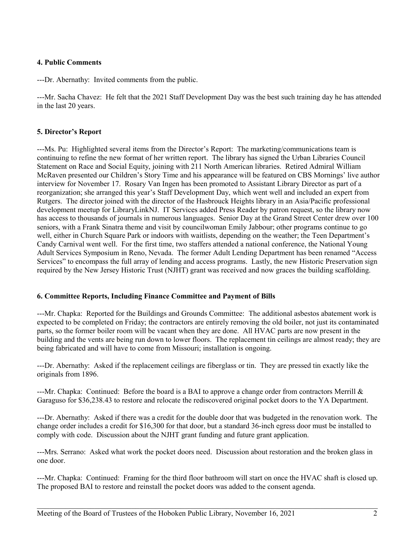# **4. Public Comments**

---Dr. Abernathy: Invited comments from the public.

---Mr. Sacha Chavez: He felt that the 2021 Staff Development Day was the best such training day he has attended in the last 20 years.

# **5. Director's Report**

---Ms. Pu: Highlighted several items from the Director's Report: The marketing/communications team is continuing to refine the new format of her written report. The library has signed the Urban Libraries Council Statement on Race and Social Equity, joining with 211 North American libraries. Retired Admiral William McRaven presented our Children's Story Time and his appearance will be featured on CBS Mornings' live author interview for November 17. Rosary Van Ingen has been promoted to Assistant Library Director as part of a reorganization; she arranged this year's Staff Development Day, which went well and included an expert from Rutgers. The director joined with the director of the Hasbrouck Heights library in an Asia/Pacific professional development meetup for LibraryLinkNJ. IT Services added Press Reader by patron request, so the library now has access to thousands of journals in numerous languages. Senior Day at the Grand Street Center drew over 100 seniors, with a Frank Sinatra theme and visit by councilwoman Emily Jabbour; other programs continue to go well, either in Church Square Park or indoors with waitlists, depending on the weather; the Teen Department's Candy Carnival went well. For the first time, two staffers attended a national conference, the National Young Adult Services Symposium in Reno, Nevada. The former Adult Lending Department has been renamed "Access Services" to encompass the full array of lending and access programs. Lastly, the new Historic Preservation sign required by the New Jersey Historic Trust (NJHT) grant was received and now graces the building scaffolding.

# **6. Committee Reports, Including Finance Committee and Payment of Bills**

---Mr. Chapka: Reported for the Buildings and Grounds Committee: The additional asbestos abatement work is expected to be completed on Friday; the contractors are entirely removing the old boiler, not just its contaminated parts, so the former boiler room will be vacant when they are done. All HVAC parts are now present in the building and the vents are being run down to lower floors. The replacement tin ceilings are almost ready; they are being fabricated and will have to come from Missouri; installation is ongoing.

---Dr. Abernathy: Asked if the replacement ceilings are fiberglass or tin. They are pressed tin exactly like the originals from 1896.

---Mr. Chapka: Continued: Before the board is a BAI to approve a change order from contractors Merrill & Garaguso for \$36,238.43 to restore and relocate the rediscovered original pocket doors to the YA Department.

---Dr. Abernathy: Asked if there was a credit for the double door that was budgeted in the renovation work. The change order includes a credit for \$16,300 for that door, but a standard 36-inch egress door must be installed to comply with code. Discussion about the NJHT grant funding and future grant application.

---Mrs. Serrano: Asked what work the pocket doors need. Discussion about restoration and the broken glass in one door.

---Mr. Chapka: Continued: Framing for the third floor bathroom will start on once the HVAC shaft is closed up. The proposed BAI to restore and reinstall the pocket doors was added to the consent agenda.

 $\mathcal{L}_\mathcal{L} = \{ \mathcal{L}_\mathcal{L} = \{ \mathcal{L}_\mathcal{L} = \{ \mathcal{L}_\mathcal{L} = \{ \mathcal{L}_\mathcal{L} = \{ \mathcal{L}_\mathcal{L} = \{ \mathcal{L}_\mathcal{L} = \{ \mathcal{L}_\mathcal{L} = \{ \mathcal{L}_\mathcal{L} = \{ \mathcal{L}_\mathcal{L} = \{ \mathcal{L}_\mathcal{L} = \{ \mathcal{L}_\mathcal{L} = \{ \mathcal{L}_\mathcal{L} = \{ \mathcal{L}_\mathcal{L} = \{ \mathcal{L}_\mathcal{$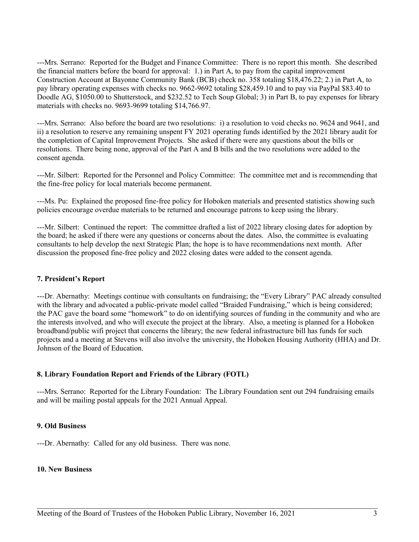---Mrs. Serrano: Reported for the Budget and Finance Committee: There is no report this month. She described the financial matters before the board for approval: 1.) in Part A, to pay from the capital improvement Construction Account at Bayonne Community Bank (BCB) check no. 358 totaling \$18,476.22; 2.) in Part A, to pay library operating expenses with checks no. 9662-9692 totaling \$28,459.10 and to pay via PayPal \$83.40 to Doodle AG, \$1050.00 to Shutterstock, and \$232.52 to Tech Soup Global; 3) in Part B, to pay expenses for library materials with checks no. 9693-9699 totaling \$14,766.97.

---Mrs. Serrano: Also before the board are two resolutions: i) a resolution to void checks no. 9624 and 9641, and ii) a resolution to reserve any remaining unspent FY 2021 operating funds identified by the 2021 library audit for the completion of Capital Improvement Projects. She asked if there were any questions about the bills or resolutions. There being none, approval of the Part A and B bills and the two resolutions were added to the consent agenda.

---Mr. Silbert: Reported for the Personnel and Policy Committee: The committee met and is recommending that the fine-free policy for local materials become permanent.

---Ms. Pu: Explained the proposed fine-free policy for Hoboken materials and presented statistics showing such policies encourage overdue materials to be returned and encourage patrons to keep using the library.

---Mr. Silbert: Continued the report: The committee drafted a list of 2022 library closing dates for adoption by the board; he asked if there were any questions or concerns about the dates. Also, the committee is evaluating consultants to help develop the next Strategic Plan; the hope is to have recommendations next month. After discussion the proposed fine-free policy and 2022 closing dates were added to the consent agenda.

# **7. President's Report**

---Dr. Abernathy: Meetings continue with consultants on fundraising; the "Every Library" PAC already consulted with the library and advocated a public-private model called "Braided Fundraising," which is being considered; the PAC gave the board some "homework" to do on identifying sources of funding in the community and who are the interests involved, and who will execute the project at the library. Also, a meeting is planned for a Hoboken broadband/public wifi project that concerns the library; the new federal infrastructure bill has funds for such projects and a meeting at Stevens will also involve the university, the Hoboken Housing Authority (HHA) and Dr. Johnson of the Board of Education.

# **8. Library Foundation Report and Friends of the Library (FOTL)**

---Mrs. Serrano: Reported for the Library Foundation: The Library Foundation sent out 294 fundraising emails and will be mailing postal appeals for the 2021 Annual Appeal.

 $\mathcal{L}_\mathcal{L} = \{ \mathcal{L}_\mathcal{L} = \{ \mathcal{L}_\mathcal{L} = \{ \mathcal{L}_\mathcal{L} = \{ \mathcal{L}_\mathcal{L} = \{ \mathcal{L}_\mathcal{L} = \{ \mathcal{L}_\mathcal{L} = \{ \mathcal{L}_\mathcal{L} = \{ \mathcal{L}_\mathcal{L} = \{ \mathcal{L}_\mathcal{L} = \{ \mathcal{L}_\mathcal{L} = \{ \mathcal{L}_\mathcal{L} = \{ \mathcal{L}_\mathcal{L} = \{ \mathcal{L}_\mathcal{L} = \{ \mathcal{L}_\mathcal{$ 

#### **9. Old Business**

---Dr. Abernathy: Called for any old business. There was none.

#### **10. New Business**